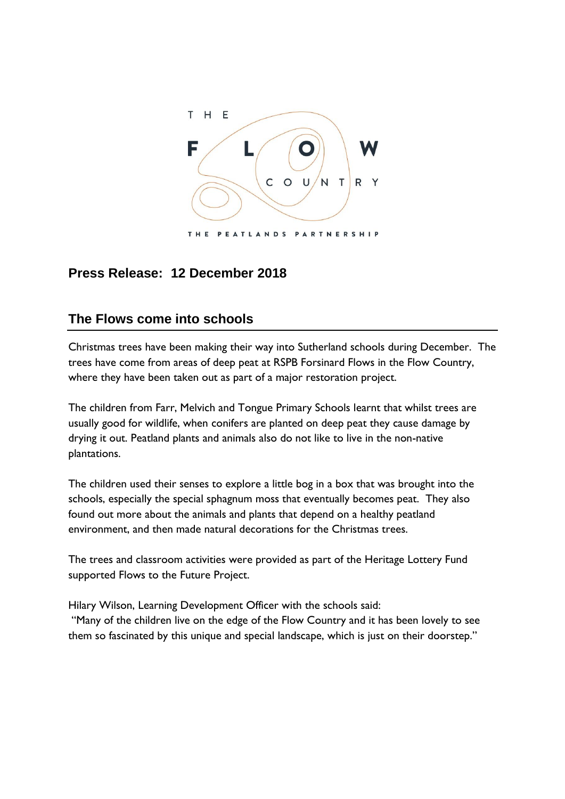

## **Press Release: 12 December 2018**

## **The Flows come into schools**

Christmas trees have been making their way into Sutherland schools during December. The trees have come from areas of deep peat at RSPB Forsinard Flows in the Flow Country, where they have been taken out as part of a major restoration project.

The children from Farr, Melvich and Tongue Primary Schools learnt that whilst trees are usually good for wildlife, when conifers are planted on deep peat they cause damage by drying it out. Peatland plants and animals also do not like to live in the non-native plantations.

The children used their senses to explore a little bog in a box that was brought into the schools, especially the special sphagnum moss that eventually becomes peat. They also found out more about the animals and plants that depend on a healthy peatland environment, and then made natural decorations for the Christmas trees.

The trees and classroom activities were provided as part of the Heritage Lottery Fund supported Flows to the Future Project.

Hilary Wilson, Learning Development Officer with the schools said:

"Many of the children live on the edge of the Flow Country and it has been lovely to see them so fascinated by this unique and special landscape, which is just on their doorstep."